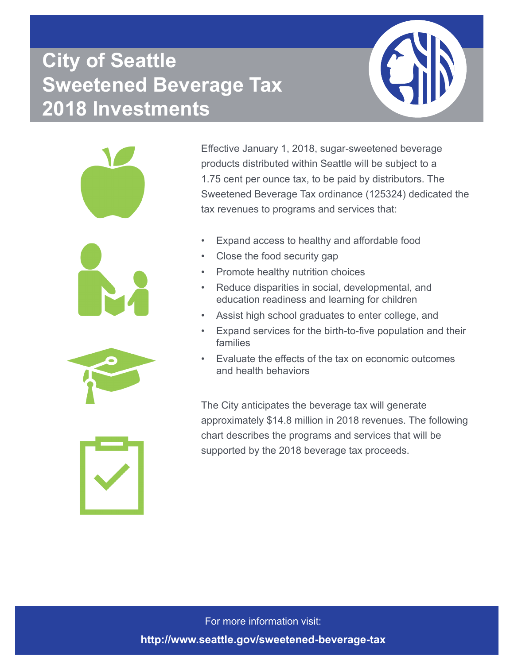## **City of Seattle Sweetened Beverage Tax 2018 Investments**



Effective January 1, 2018, sugar-sweetened beverage products distributed within Seattle will be subject to a 1.75 cent per ounce tax, to be paid by distributors. The Sweetened Beverage Tax ordinance (125324) dedicated the tax revenues to programs and services that:

- Expand access to healthy and affordable food
- Close the food security gap
- Promote healthy nutrition choices
- Reduce disparities in social, developmental, and education readiness and learning for children
- Assist high school graduates to enter college, and
- Expand services for the birth-to-five population and their families
- Evaluate the effects of the tax on economic outcomes and health behaviors

The City anticipates the beverage tax will generate approximately \$14.8 million in 2018 revenues. The following chart describes the programs and services that will be supported by the 2018 beverage tax proceeds.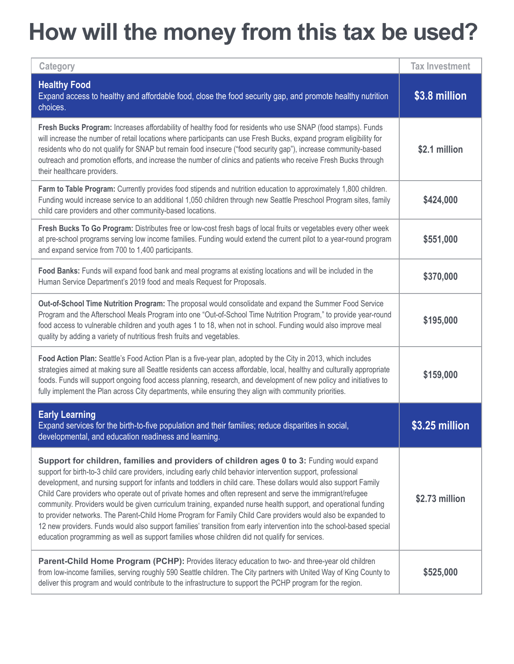## **How will the money from this tax be used?**

| Category                                                                                                                                                                                                                                                                                                                                                                                                                                                                                                                                                                                                                                                                                                                                                                                                                                                                                                     | <b>Tax Investment</b> |
|--------------------------------------------------------------------------------------------------------------------------------------------------------------------------------------------------------------------------------------------------------------------------------------------------------------------------------------------------------------------------------------------------------------------------------------------------------------------------------------------------------------------------------------------------------------------------------------------------------------------------------------------------------------------------------------------------------------------------------------------------------------------------------------------------------------------------------------------------------------------------------------------------------------|-----------------------|
| <b>Healthy Food</b><br>Expand access to healthy and affordable food, close the food security gap, and promote healthy nutrition<br>choices.                                                                                                                                                                                                                                                                                                                                                                                                                                                                                                                                                                                                                                                                                                                                                                  | \$3.8 million         |
| Fresh Bucks Program: Increases affordability of healthy food for residents who use SNAP (food stamps). Funds<br>will increase the number of retail locations where participants can use Fresh Bucks, expand program eligibility for<br>residents who do not qualify for SNAP but remain food insecure ("food security gap"), increase community-based<br>outreach and promotion efforts, and increase the number of clinics and patients who receive Fresh Bucks through<br>their healthcare providers.                                                                                                                                                                                                                                                                                                                                                                                                      | \$2.1 million         |
| Farm to Table Program: Currently provides food stipends and nutrition education to approximately 1,800 children.<br>Funding would increase service to an additional 1,050 children through new Seattle Preschool Program sites, family<br>child care providers and other community-based locations.                                                                                                                                                                                                                                                                                                                                                                                                                                                                                                                                                                                                          | \$424,000             |
| Fresh Bucks To Go Program: Distributes free or low-cost fresh bags of local fruits or vegetables every other week<br>at pre-school programs serving low income families. Funding would extend the current pilot to a year-round program<br>and expand service from 700 to 1,400 participants.                                                                                                                                                                                                                                                                                                                                                                                                                                                                                                                                                                                                                | \$551,000             |
| Food Banks: Funds will expand food bank and meal programs at existing locations and will be included in the<br>Human Service Department's 2019 food and meals Request for Proposals.                                                                                                                                                                                                                                                                                                                                                                                                                                                                                                                                                                                                                                                                                                                         | \$370,000             |
| Out-of-School Time Nutrition Program: The proposal would consolidate and expand the Summer Food Service<br>Program and the Afterschool Meals Program into one "Out-of-School Time Nutrition Program," to provide year-round<br>food access to vulnerable children and youth ages 1 to 18, when not in school. Funding would also improve meal<br>quality by adding a variety of nutritious fresh fruits and vegetables.                                                                                                                                                                                                                                                                                                                                                                                                                                                                                      | \$195,000             |
| Food Action Plan: Seattle's Food Action Plan is a five-year plan, adopted by the City in 2013, which includes<br>strategies aimed at making sure all Seattle residents can access affordable, local, healthy and culturally appropriate<br>foods. Funds will support ongoing food access planning, research, and development of new policy and initiatives to<br>fully implement the Plan across City departments, while ensuring they align with community priorities.                                                                                                                                                                                                                                                                                                                                                                                                                                      | \$159,000             |
| <b>Early Learning</b><br>Expand services for the birth-to-five population and their families; reduce disparities in social,<br>developmental, and education readiness and learning.                                                                                                                                                                                                                                                                                                                                                                                                                                                                                                                                                                                                                                                                                                                          | \$3.25 million        |
| Support for children, families and providers of children ages 0 to 3: Funding would expand<br>support for birth-to-3 child care providers, including early child behavior intervention support, professional<br>development, and nursing support for infants and toddlers in child care. These dollars would also support Family<br>Child Care providers who operate out of private homes and often represent and serve the immigrant/refugee<br>community. Providers would be given curriculum training, expanded nurse health support, and operational funding<br>to provider networks. The Parent-Child Home Program for Family Child Care providers would also be expanded to<br>12 new providers. Funds would also support families' transition from early intervention into the school-based special<br>education programming as well as support families whose children did not qualify for services. | \$2.73 million        |
| Parent-Child Home Program (PCHP): Provides literacy education to two- and three-year old children<br>from low-income families, serving roughly 590 Seattle children. The City partners with United Way of King County to<br>deliver this program and would contribute to the infrastructure to support the PCHP program for the region.                                                                                                                                                                                                                                                                                                                                                                                                                                                                                                                                                                      | \$525,000             |